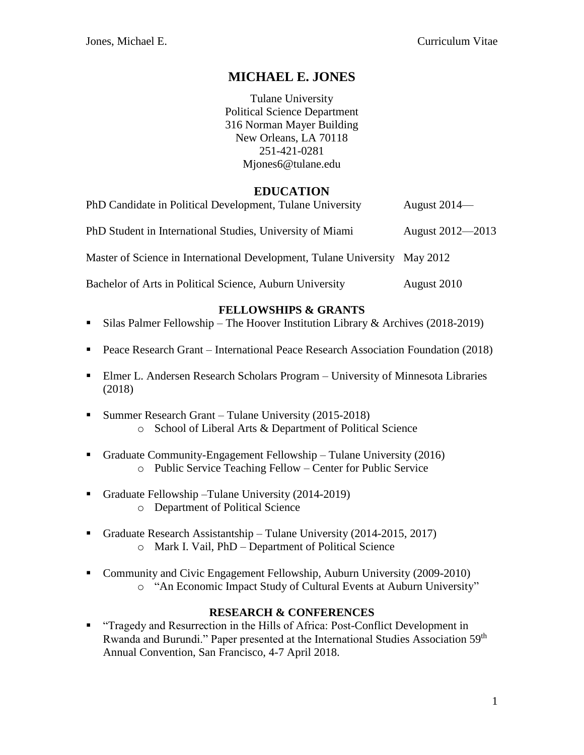# **MICHAEL E. JONES**

Tulane University Political Science Department 316 Norman Mayer Building New Orleans, LA 70118 251-421-0281 Mjones6@tulane.edu

# **EDUCATION**

| PhD Candidate in Political Development, Tulane University         | August $2014$ —  |
|-------------------------------------------------------------------|------------------|
| PhD Student in International Studies, University of Miami         | August 2012—2013 |
| Master of Science in International Development, Tulane University | May 2012         |
| Bachelor of Arts in Political Science, Auburn University          | August 2010      |

## **FELLOWSHIPS & GRANTS**

- Silas Palmer Fellowship The Hoover Institution Library & Archives (2018-2019)
- Peace Research Grant International Peace Research Association Foundation (2018)
- Elmer L. Andersen Research Scholars Program University of Minnesota Libraries (2018)
- **Example 1** Summer Research Grant Tulane University (2015-2018) o School of Liberal Arts & Department of Political Science
- Graduate Community-Engagement Fellowship Tulane University (2016) o Public Service Teaching Fellow – Center for Public Service
- Graduate Fellowship –Tulane University (2014-2019) o Department of Political Science
- Graduate Research Assistantship Tulane University (2014-2015, 2017) o Mark I. Vail, PhD – Department of Political Science
- Community and Civic Engagement Fellowship, Auburn University (2009-2010) o "An Economic Impact Study of Cultural Events at Auburn University"

#### **RESEARCH & CONFERENCES**

▪ "Tragedy and Resurrection in the Hills of Africa: Post-Conflict Development in Rwanda and Burundi." Paper presented at the International Studies Association 59<sup>th</sup> Annual Convention, San Francisco, 4-7 April 2018.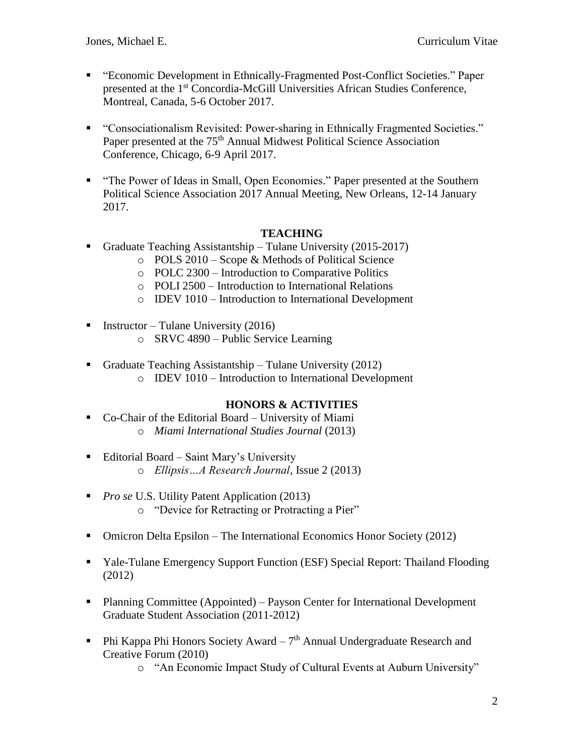- "Economic Development in Ethnically-Fragmented Post-Conflict Societies." Paper presented at the 1st Concordia-McGill Universities African Studies Conference, Montreal, Canada, 5-6 October 2017.
- "Consociationalism Revisited: Power-sharing in Ethnically Fragmented Societies." Paper presented at the 75<sup>th</sup> Annual Midwest Political Science Association Conference, Chicago, 6-9 April 2017.
- "The Power of Ideas in Small, Open Economies." Paper presented at the Southern Political Science Association 2017 Annual Meeting, New Orleans, 12-14 January 2017.

## **TEACHING**

- Graduate Teaching Assistantship Tulane University (2015-2017)
	- o POLS 2010 Scope & Methods of Political Science
	- o POLC 2300 Introduction to Comparative Politics
	- o POLI 2500 Introduction to International Relations
	- o IDEV 1010 Introduction to International Development
- **•** Instructor Tulane University (2016)
	- o SRVC 4890 Public Service Learning
- Graduate Teaching Assistantship Tulane University  $(2012)$ 
	- o IDEV 1010 Introduction to International Development

# **HONORS & ACTIVITIES**

- Co-Chair of the Editorial Board University of Miami o *Miami International Studies Journal* (2013)
- Editorial Board Saint Mary's University o *Ellipsis…A Research Journal*, Issue 2 (2013)
- *Pro se* U.S. Utility Patent Application (2013) o "Device for Retracting or Protracting a Pier"
- Omicron Delta Epsilon The International Economics Honor Society (2012)
- Yale-Tulane Emergency Support Function (ESF) Special Report: Thailand Flooding (2012)
- Planning Committee (Appointed) Payson Center for International Development Graduate Student Association (2011-2012)
- **•** Phi Kappa Phi Honors Society Award  $-7$ <sup>th</sup> Annual Undergraduate Research and Creative Forum (2010)
	- o "An Economic Impact Study of Cultural Events at Auburn University"